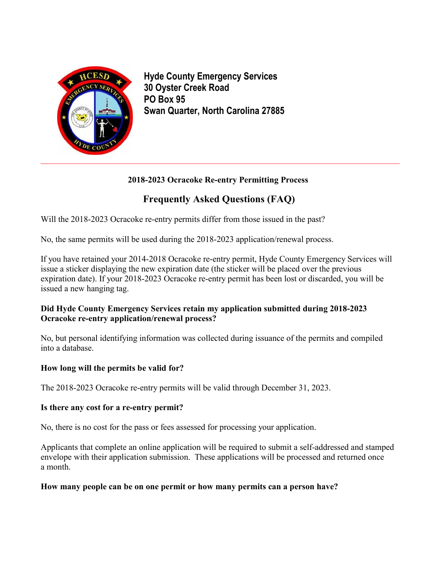

**Hyde County Emergency Services 30 Oyster Creek Road PO Box 95 Swan Quarter, North Carolina 27885**

# **2018-2023 Ocracoke Re-entry Permitting Process**

# **Frequently Asked Questions (FAQ)**

Will the 2018-2023 Ocracoke re-entry permits differ from those issued in the past?

No, the same permits will be used during the 2018-2023 application/renewal process.

If you have retained your 2014-2018 Ocracoke re-entry permit, Hyde County Emergency Services will issue a sticker displaying the new expiration date (the sticker will be placed over the previous expiration date). If your 2018-2023 Ocracoke re-entry permit has been lost or discarded, you will be issued a new hanging tag.

# **Did Hyde County Emergency Services retain my application submitted during 2018-2023 Ocracoke re-entry application/renewal process?**

No, but personal identifying information was collected during issuance of the permits and compiled into a database.

# **How long will the permits be valid for?**

The 2018-2023 Ocracoke re-entry permits will be valid through December 31, 2023.

# **Is there any cost for a re-entry permit?**

No, there is no cost for the pass or fees assessed for processing your application.

Applicants that complete an online application will be required to submit a self-addressed and stamped envelope with their application submission. These applications will be processed and returned once a month.

# **How many people can be on one permit or how many permits can a person have?**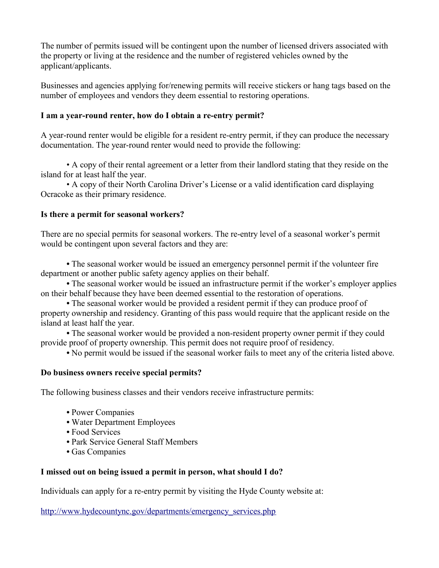The number of permits issued will be contingent upon the number of licensed drivers associated with the property or living at the residence and the number of registered vehicles owned by the applicant/applicants.

Businesses and agencies applying for/renewing permits will receive stickers or hang tags based on the number of employees and vendors they deem essential to restoring operations.

#### **I am a year-round renter, how do I obtain a re-entry permit?**

A year-round renter would be eligible for a resident re-entry permit, if they can produce the necessary documentation. The year-round renter would need to provide the following:

• A copy of their rental agreement or a letter from their landlord stating that they reside on the island for at least half the year.

• A copy of their North Carolina Driver's License or a valid identification card displaying Ocracoke as their primary residence.

#### **Is there a permit for seasonal workers?**

There are no special permits for seasonal workers. The re-entry level of a seasonal worker's permit would be contingent upon several factors and they are:

**•** The seasonal worker would be issued an emergency personnel permit if the volunteer fire department or another public safety agency applies on their behalf.

• The seasonal worker would be issued an infrastructure permit if the worker's employer applies on their behalf because they have been deemed essential to the restoration of operations.

**•** The seasonal worker would be provided a resident permit if they can produce proof of property ownership and residency. Granting of this pass would require that the applicant reside on the island at least half the year.

**•** The seasonal worker would be provided a non-resident property owner permit if they could provide proof of property ownership. This permit does not require proof of residency.

**•** No permit would be issued if the seasonal worker fails to meet any of the criteria listed above.

# **Do business owners receive special permits?**

The following business classes and their vendors receive infrastructure permits:

- Power Companies
- Water Department Employees
- Food Services
- Park Service General Staff Members
- Gas Companies

# **I missed out on being issued a permit in person, what should I do?**

Individuals can apply for a re-entry permit by visiting the Hyde County website at:

http://www.hydecountync.gov/departments/emergency\_services.php